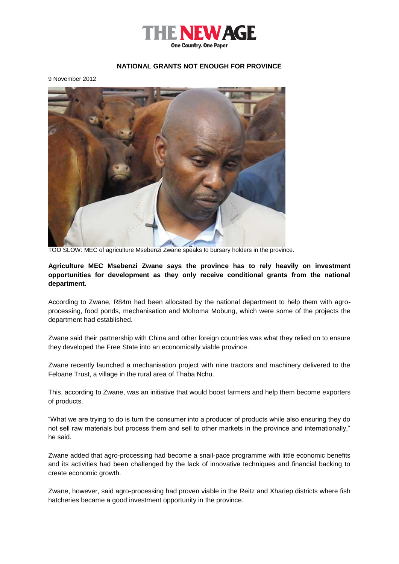

## **NATIONAL GRANTS NOT ENOUGH FOR PROVINCE**

9 November 2012



TOO SLOW: MEC of agriculture Msebenzi Zwane speaks to bursary holders in the province.

**Agriculture MEC Msebenzi Zwane says the province has to rely heavily on investment opportunities for development as they only receive conditional grants from the national department.**

According to Zwane, R84m had been allocated by the national department to help them with agroprocessing, food ponds, mechanisation and Mohoma Mobung, which were some of the projects the department had established.

Zwane said their partnership with China and other foreign countries was what they relied on to ensure they developed the Free State into an economically viable province.

Zwane recently launched a mechanisation project with nine tractors and machinery delivered to the Feloane Trust, a village in the rural area of Thaba Nchu.

This, according to Zwane, was an initiative that would boost farmers and help them become exporters of products.

"What we are trying to do is turn the consumer into a producer of products while also ensuring they do not sell raw materials but process them and sell to other markets in the province and internationally," he said.

Zwane added that agro-processing had become a snail-pace programme with little economic benefits and its activities had been challenged by the lack of innovative techniques and financial backing to create economic growth.

Zwane, however, said agro-processing had proven viable in the Reitz and Xhariep districts where fish hatcheries became a good investment opportunity in the province.